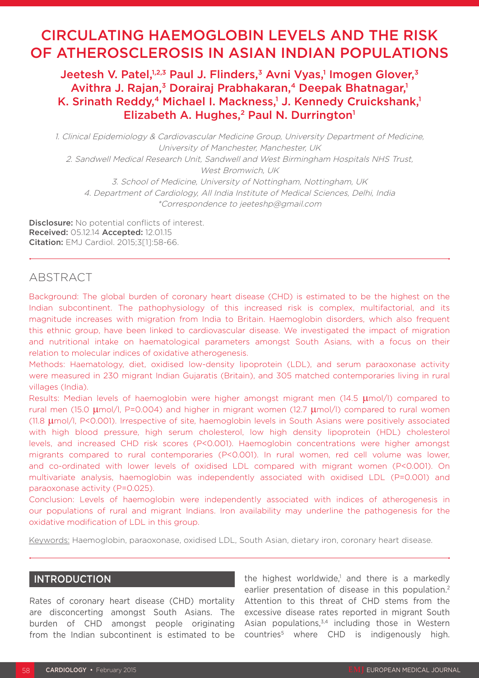# CIRCULATING HAEMOGLOBIN LEVELS AND THE RISK OF ATHEROSCLEROSIS IN ASIAN INDIAN POPULATIONS

Jeetesh V. Patel,<sup>1,2,3</sup> Paul J. Flinders,<sup>3</sup> Avni Vyas,<sup>1</sup> Imogen Glover,<sup>3</sup> Avithra J. Rajan,<sup>3</sup> Dorairaj Prabhakaran,<sup>4</sup> Deepak Bhatnagar,<sup>1</sup> K. Srinath Reddy,<sup>4</sup> Michael I. Mackness,<sup>1</sup> J. Kennedy Cruickshank,<sup>1</sup> Elizabeth A. Hughes,<sup>2</sup> Paul N. Durrington<sup>1</sup>

1. Clinical Epidemiology & Cardiovascular Medicine Group, University Department of Medicine, University of Manchester, Manchester, UK 2. Sandwell Medical Research Unit, Sandwell and West Birmingham Hospitals NHS Trust, West Bromwich, UK 3. School of Medicine, University of Nottingham, Nottingham, UK 4. Department of Cardiology, All India Institute of Medical Sciences, Delhi, India \*Correspondence to jeeteshp@gmail.com

**Disclosure:** No potential conflicts of interest. Received: 05.12.14 Accepted: 12.01.15 Citation: EMJ Cardiol. 2015;3[1]:58-66.

# ABSTRACT

Background: The global burden of coronary heart disease (CHD) is estimated to be the highest on the Indian subcontinent. The pathophysiology of this increased risk is complex, multifactorial, and its magnitude increases with migration from India to Britain. Haemoglobin disorders, which also frequent this ethnic group, have been linked to cardiovascular disease. We investigated the impact of migration and nutritional intake on haematological parameters amongst South Asians, with a focus on their relation to molecular indices of oxidative atherogenesis.

Methods: Haematology, diet, oxidised low-density lipoprotein (LDL), and serum paraoxonase activity were measured in 230 migrant Indian Gujaratis (Britain), and 305 matched contemporaries living in rural villages (India).

Results: Median levels of haemoglobin were higher amongst migrant men (14.5 µmol/l) compared to rural men (15.0  $\mu$ mol/l, P=0.004) and higher in migrant women (12.7  $\mu$ mol/l) compared to rural women (11.8 µmol/l, P<0.001). Irrespective of site, haemoglobin levels in South Asians were positively associated with high blood pressure, high serum cholesterol, low high density lipoprotein (HDL) cholesterol levels, and increased CHD risk scores (P<0.001). Haemoglobin concentrations were higher amongst migrants compared to rural contemporaries (P<0.001). In rural women, red cell volume was lower, and co-ordinated with lower levels of oxidised LDL compared with migrant women (P<0.001). On multivariate analysis, haemoglobin was independently associated with oxidised LDL (P=0.001) and paraoxonase activity (P=0.025).

Conclusion: Levels of haemoglobin were independently associated with indices of atherogenesis in our populations of rural and migrant Indians. Iron availability may underline the pathogenesis for the oxidative modification of LDL in this group.

Keywords: Haemoglobin, paraoxonase, oxidised LDL, South Asian, dietary iron, coronary heart disease.

# INTRODUCTION

Rates of coronary heart disease (CHD) mortality are disconcerting amongst South Asians. The burden of CHD amongst people originating from the Indian subcontinent is estimated to be

the highest worldwide,<sup>1</sup> and there is a markedly earlier presentation of disease in this population.<sup>2</sup> Attention to this threat of CHD stems from the excessive disease rates reported in migrant South Asian populations,<sup>3,4</sup> including those in Western countries5 where CHD is indigenously high.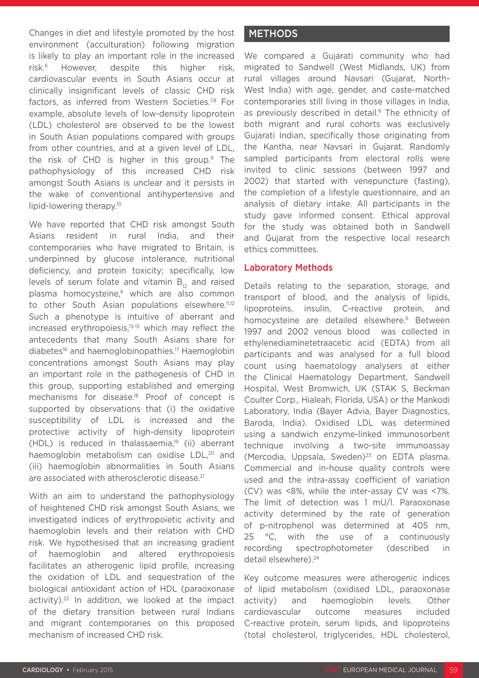Changes in diet and lifestyle promoted by the host environment (acculturation) following migration is likely to play an important role in the increased risk.6 However, despite this higher risk, cardiovascular events in South Asians occur at clinically insignificant levels of classic CHD risk factors, as inferred from Western Societies.<sup>7,8</sup> For example, absolute levels of low-density lipoprotein (LDL) cholesterol are observed to be the lowest in South Asian populations compared with groups from other countries, and at a given level of LDL, the risk of CHD is higher in this group.9 The pathophysiology of this increased CHD risk amongst South Asians is unclear and it persists in the wake of conventional antihypertensive and lipid-lowering therapy.10

We have reported that CHD risk amongst South Asians resident in rural India, and their contemporaries who have migrated to Britain, is underpinned by glucose intolerance, nutritional deficiency, and protein toxicity; specifically, low levels of serum folate and vitamin  $B_{12}$  and raised plasma homocysteine,<sup>6</sup> which are also common to other South Asian populations elsewhere.<sup>11,12</sup> Such a phenotype is intuitive of aberrant and increased erythropoiesis,13-15 which may reflect the antecedents that many South Asians share for diabetes<sup>16</sup> and haemoglobinopathies.<sup>17</sup> Haemoglobin concentrations amongst South Asians may play an important role in the pathogenesis of CHD in this group, supporting established and emerging mechanisms for disease.18 Proof of concept is supported by observations that (i) the oxidative susceptibility of LDL is increased and the protective activity of high-density lipoprotein  $(HDL)$  is reduced in thalassaemia,<sup>19</sup> (ii) aberrant haemoglobin metabolism can oxidise LDL,<sup>20</sup> and (iii) haemoglobin abnormalities in South Asians are associated with atherosclerotic disease.<sup>21</sup>

With an aim to understand the pathophysiology of heightened CHD risk amongst South Asians, we investigated indices of erythropoietic activity and haemoglobin levels and their relation with CHD risk. We hypothesised that an increasing gradient of haemoglobin and altered erythropoiesis facilitates an atherogenic lipid profile, increasing the oxidation of LDL and sequestration of the biological antioxidant action of HDL (paraoxonase activity).22 In addition, we looked at the impact of the dietary transition between rural Indians and migrant contemporaries on this proposed mechanism of increased CHD risk.

# METHODS

We compared a Gujarati community who had migrated to Sandwell (West Midlands, UK) from rural villages around Navsari (Gujarat, North-West India) with age, gender, and caste-matched contemporaries still living in those villages in India, as previously described in detail.<sup>6</sup> The ethnicity of both migrant and rural cohorts was exclusively Gujarati Indian, specifically those originating from the Kantha, near Navsari in Gujarat. Randomly sampled participants from electoral rolls were invited to clinic sessions (between 1997 and 2002) that started with venepuncture (fasting), the completion of a lifestyle questionnaire, and an analysis of dietary intake. All participants in the study gave informed consent. Ethical approval for the study was obtained both in Sandwell and Gujarat from the respective local research ethics committees.

# Laboratory Methods

Details relating to the separation, storage, and transport of blood, and the analysis of lipids, lipoproteins, insulin, C-reactive protein, and homocysteine are detailed elsewhere.<sup>6</sup> Between 1997 and 2002 venous blood was collected in ethylenediaminetetraacetic acid (EDTA) from all participants and was analysed for a full blood count using haematology analysers at either the Clinical Haematology Department, Sandwell Hospital, West Bromwich, UK (STAK S, Beckman Coulter Corp., Hialeah, Florida, USA) or the Mankodi Laboratory, India (Bayer Advia, Bayer Diagnostics, Baroda, India). Oxidised LDL was determined using a sandwich enzyme-linked immunosorbent technique involving a two-site immunoassay (Mercodia, Uppsala, Sweden) $23$  on EDTA plasma. Commercial and in-house quality controls were used and the intra-assay coefficient of variation (CV) was <8%, while the inter-assay CV was <7%. The limit of detection was 1 mU/l. Paraoxonase activity determined by the rate of generation of p-nitrophenol was determined at 405 nm, 25 °C, with the use of a continuously recording spectrophotometer (described in detail elsewhere).<sup>24</sup>

Key outcome measures were atherogenic indices of lipid metabolism (oxidised LDL, paraoxonase activity) and haemoglobin levels. Other cardiovascular outcome measures included C-reactive protein, serum lipids, and lipoproteins (total cholesterol, triglycerides, HDL cholesterol,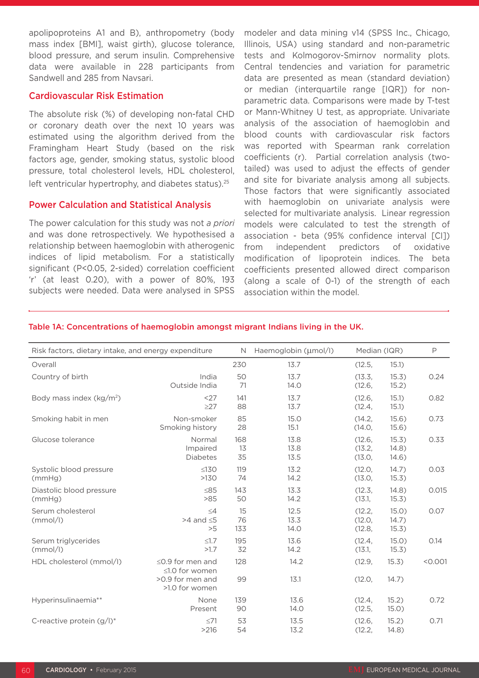apolipoproteins A1 and B), anthropometry (body mass index [BMI], waist girth), glucose tolerance, blood pressure, and serum insulin. Comprehensive data were available in 228 participants from Sandwell and 285 from Navsari.

#### Cardiovascular Risk Estimation

The absolute risk (%) of developing non-fatal CHD or coronary death over the next 10 years was estimated using the algorithm derived from the Framingham Heart Study (based on the risk factors age, gender, smoking status, systolic blood pressure, total cholesterol levels, HDL cholesterol, left ventricular hypertrophy, and diabetes status).<sup>25</sup>

## Power Calculation and Statistical Analysis

The power calculation for this study was not *a priori* and was done retrospectively. We hypothesised a relationship between haemoglobin with atherogenic indices of lipid metabolism. For a statistically significant (P<0.05, 2-sided) correlation coefficient 'r' (at least 0.20), with a power of 80%, 193 subjects were needed. Data were analysed in SPSS modeler and data mining v14 (SPSS Inc., Chicago, Illinois, USA) using standard and non-parametric tests and Kolmogorov-Smirnov normality plots. Central tendencies and variation for parametric data are presented as mean (standard deviation) or median (interquartile range [IQR]) for nonparametric data. Comparisons were made by T-test or Mann-Whitney U test, as appropriate. Univariate analysis of the association of haemoglobin and blood counts with cardiovascular risk factors was reported with Spearman rank correlation coefficients (r). Partial correlation analysis (twotailed) was used to adjust the effects of gender and site for bivariate analysis among all subjects. Those factors that were significantly associated with haemoglobin on univariate analysis were selected for multivariate analysis. Linear regression models were calculated to test the strength of association - beta (95% confidence interval [CI]) from independent predictors of oxidative modification of lipoprotein indices. The beta coefficients presented allowed direct comparison (along a scale of 0-1) of the strength of each association within the model.

| Risk factors, dietary intake, and energy expenditure |                                                              | N               | Haemoglobin (µmol/l) | Median (IQR)               |                         | P       |
|------------------------------------------------------|--------------------------------------------------------------|-----------------|----------------------|----------------------------|-------------------------|---------|
| Overall                                              |                                                              | 230             | 13.7                 | (12.5,                     | 15.1)                   |         |
| Country of birth                                     | India<br>Outside India                                       | 50<br>71        | 13.7<br>14.0         | (13.3,<br>(12.6,           | 15.3)<br>15.2)          | 0.24    |
| Body mass index $(kg/m2)$                            | <27<br>$\geq$ 27                                             | 141<br>88       | 13.7<br>13.7         | (12.6,<br>(12.4,           | 15.1)<br>15.1)          | 0.82    |
| Smoking habit in men                                 | Non-smoker<br>Smoking history                                | 85<br>28        | 15.0<br>15.1         | (14.2,<br>(14.0,           | 15.6)<br>15.6)          | 0.73    |
| Glucose tolerance                                    | Normal<br>Impaired<br><b>Diabetes</b>                        | 168<br>13<br>35 | 13.8<br>13.8<br>13.5 | (12.6,<br>(13.2,<br>(13.0, | 15.3)<br>14.8)<br>14.6) | 0.33    |
| Systolic blood pressure<br>(mmHq)                    | $\leq 130$<br>>130                                           | 119<br>74       | 13.2<br>14.2         | (12.0,<br>(13.0,           | 14.7)<br>15.3)          | 0.03    |
| Diastolic blood pressure<br>(mmHg)                   | $\leq 85$<br>>85                                             | 143<br>50       | 13.3<br>14.2         | (12.3,<br>(13.1,           | 14.8)<br>15.3)          | 0.015   |
| Serum cholesterol<br>(mmol/l)                        | $\leq 4$<br>$>4$ and $\leq 5$<br>>5                          | 15<br>76<br>133 | 12.5<br>13.3<br>14.0 | (12.2,<br>(12.0,<br>(12.8, | 15.0)<br>14.7)<br>15.3) | 0.07    |
| Serum triglycerides<br>(mmol/l)                      | $\leq1.7$<br>>1.7                                            | 195<br>32       | 13.6<br>14.2         | (12.4,<br>(13.1,           | 15.0)<br>15.3)          | 0.14    |
| HDL cholesterol (mmol/l)                             | $\leq$ 0.9 for men and<br>≤1.0 for women<br>>0.9 for men and | 128<br>99       | 14.2<br>13.1         | (12.9,<br>(12.0,           | 15.3)<br>14.7)          | < 0.001 |
|                                                      | >1.0 for women                                               |                 |                      |                            |                         |         |
| Hyperinsulinaemia**                                  | None<br>Present                                              | 139<br>90       | 13.6<br>14.0         | (12.4,<br>(12.5,           | 15.2)<br>15.0)          | 0.72    |
| C-reactive protein $(g/l)^*$                         | $\leq 71$<br>>216                                            | 53<br>54        | 13.5<br>13.2         | (12.6,<br>(12.2,           | 15.2)<br>14.8)          | 0.71    |

#### Table 1A: Concentrations of haemoglobin amongst migrant Indians living in the UK.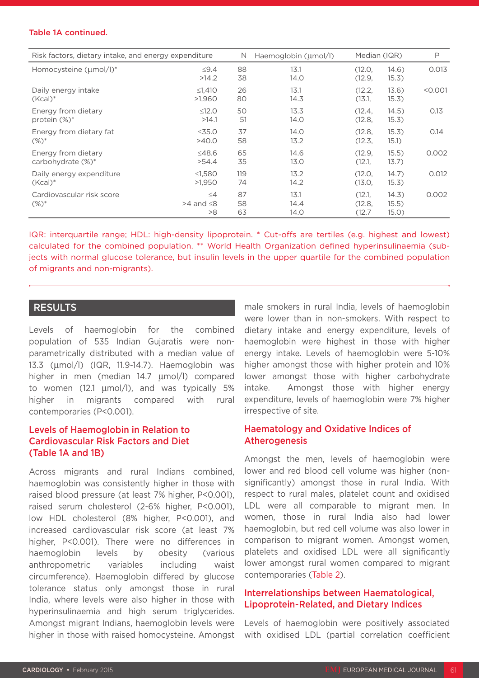#### Table 1A continued.

| Risk factors, dietary intake, and energy expenditure |                                     | N              | Haemoglobin (µmol/l) |                            | Median (IQR)            |         |  |
|------------------------------------------------------|-------------------------------------|----------------|----------------------|----------------------------|-------------------------|---------|--|
| Homocysteine (µmol/l)*                               | $\leq$ 9.4<br>>14.2                 | 88<br>38       | 13.1<br>14.0         | (12.0,<br>(12.9,           | 14.6)<br>15.3)          | 0.013   |  |
| Daily energy intake                                  | $≤1,410$                            | 26             | 13.1                 | (12.2,                     | 13.6)                   | < 0.001 |  |
| $(Kcal)^*$                                           | >1,960                              | 80             | 14.3                 | (13.1,                     | 15.3)                   |         |  |
| Energy from dietary                                  | $\leq 12.0$                         | 50             | 13.3                 | (12.4,                     | 14.5)                   | 0.13    |  |
| protein $(\%)^*$                                     | >14.1                               | 51             | 14.0                 | (12.8,                     | 15.3)                   |         |  |
| Energy from dietary fat                              | $\leq 35.0$                         | 37             | 14.0                 | (12.8,                     | 15.3)                   | 0.14    |  |
| $(\%)^*$                                             | >40.0                               | 58             | 13.2                 | (12.3,                     | 15.1)                   |         |  |
| Energy from dietary                                  | $\leq$ 48.6                         | 65             | 14.6                 | (12.9,                     | 15.5)                   | 0.002   |  |
| carbohydrate (%)*                                    | >54.4                               | 35             | 13.0                 | (12.1,                     | 13.7)                   |         |  |
| Daily energy expenditure                             | $\leq1,580$                         | 119            | 13.2                 | (12.0,                     | 14.7)                   | 0.012   |  |
| $(Kcal)^*$                                           | >1,950                              | 74             | 14.2                 | (13.0,                     | 15.3)                   |         |  |
| Cardiovascular risk score<br>$(\%)^*$                | $\leq 4$<br>$>4$ and $\leq 8$<br>>8 | 87<br>58<br>63 | 13.1<br>14.4<br>14.0 | (12.1,<br>(12.8,<br>(12.7) | 14.3)<br>15.5)<br>15.0) | 0.002   |  |

IQR: interquartile range; HDL: high-density lipoprotein. \* Cut-offs are tertiles (e.g. highest and lowest) calculated for the combined population. \*\* World Health Organization defined hyperinsulinaemia (subjects with normal glucose tolerance, but insulin levels in the upper quartile for the combined population of migrants and non-migrants).

## RESULTS

Levels of haemoglobin for the combined population of 535 Indian Gujaratis were nonparametrically distributed with a median value of 13.3 (µmol/l) (IQR, 11.9-14.7). Haemoglobin was higher in men (median 14.7 µmol/l) compared to women (12.1 µmol/l), and was typically 5% higher in migrants compared with rural contemporaries (P<0.001).

# Levels of Haemoglobin in Relation to Cardiovascular Risk Factors and Diet (Table 1A and 1B)

Across migrants and rural Indians combined, haemoglobin was consistently higher in those with raised blood pressure (at least 7% higher, P<0.001), raised serum cholesterol (2-6% higher, P<0.001), low HDL cholesterol (8% higher, P<0.001), and increased cardiovascular risk score (at least 7% higher, P<0.001). There were no differences in haemoglobin levels by obesity (various anthropometric variables including waist circumference). Haemoglobin differed by glucose tolerance status only amongst those in rural India, where levels were also higher in those with hyperinsulinaemia and high serum triglycerides. Amongst migrant Indians, haemoglobin levels were higher in those with raised homocysteine. Amongst

male smokers in rural India, levels of haemoglobin were lower than in non-smokers. With respect to dietary intake and energy expenditure, levels of haemoglobin were highest in those with higher energy intake. Levels of haemoglobin were 5-10% higher amongst those with higher protein and 10% lower amongst those with higher carbohydrate intake. Amongst those with higher energy expenditure, levels of haemoglobin were 7% higher irrespective of site.

## Haematology and Oxidative Indices of **Atherogenesis**

Amongst the men, levels of haemoglobin were lower and red blood cell volume was higher (nonsignificantly) amongst those in rural India. With respect to rural males, platelet count and oxidised LDL were all comparable to migrant men. In women, those in rural India also had lower haemoglobin, but red cell volume was also lower in comparison to migrant women. Amongst women, platelets and oxidised LDL were all significantly lower amongst rural women compared to migrant contemporaries (Table 2).

## Interrelationships between Haematological, Lipoprotein-Related, and Dietary Indices

Levels of haemoglobin were positively associated with oxidised LDL (partial correlation coefficient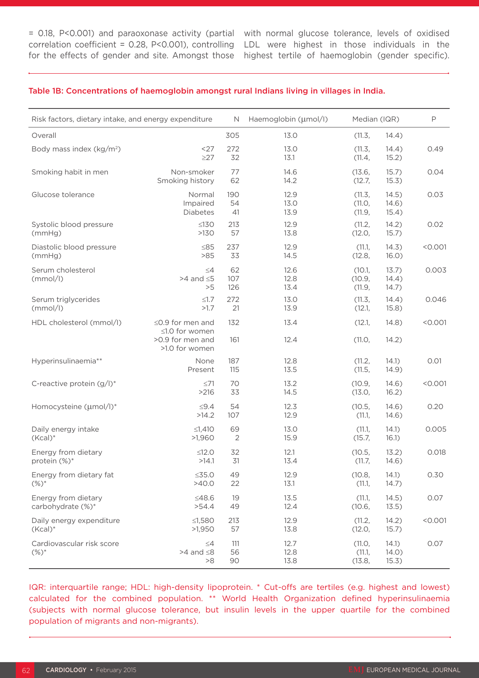= 0.18, P<0.001) and paraoxonase activity (partial correlation coefficient = 0.28, P<0.001), controlling for the effects of gender and site. Amongst those

with normal glucose tolerance, levels of oxidised LDL were highest in those individuals in the highest tertile of haemoglobin (gender specific).

#### Table 1B: Concentrations of haemoglobin amongst rural Indians living in villages in India.

| Risk factors, dietary intake, and energy expenditure |                                          | N.                   | Haemoglobin (µmol/l) | Median (IQR)               |                         | $\mathsf{P}$ |
|------------------------------------------------------|------------------------------------------|----------------------|----------------------|----------------------------|-------------------------|--------------|
| Overall                                              |                                          | 305                  | 13.0                 | (11.3,                     | 14.4)                   |              |
| Body mass index (kg/m <sup>2</sup> )                 | <27<br>$\geq$ 27                         | 272<br>32            | 13.0<br>13.1         | (11.3,<br>(11.4,           | 14.4)<br>15.2)          | 0.49         |
| Smoking habit in men                                 | Non-smoker<br>Smoking history            | 77<br>62             | 14.6<br>14.2         | (13.6,<br>(12.7,           | 15.7)<br>15.3)          | 0.04         |
| Glucose tolerance                                    | Normal<br>Impaired<br><b>Diabetes</b>    | 190<br>54<br>41      | 12.9<br>13.0<br>13.9 | (11.3,<br>(11.0,<br>(11.9, | 14.5)<br>14.6)<br>15.4) | 0.03         |
| Systolic blood pressure<br>(mmHg)                    | $\leq 130$<br>>130                       | 213<br>57            | 12.9<br>13.8         | (11.2,<br>(12.0,           | 14.2)<br>15.7)          | 0.02         |
| Diastolic blood pressure<br>(mmHg)                   | $\leq 85$<br>>85                         | 237<br>33            | 12.9<br>14.5         | (11.1,<br>(12.8,           | 14.3)<br>16.0)          | < 0.001      |
| Serum cholesterol<br>(mmol/l)                        | $\leq 4$<br>$>4$ and $\leq 5$<br>>5      | 62<br>107<br>126     | 12.6<br>12.8<br>13.4 | (10.1,<br>(10.9,<br>(11.9, | 13.7)<br>14.4)<br>14.7) | 0.003        |
| Serum triglycerides<br>(mmol/l)                      | $\leq1.7$<br>>1.7                        | 272<br>21            | 13.0<br>13.9         | (11.3,<br>(12.1,           | 14.4)<br>15.8)          | 0.046        |
| HDL cholesterol (mmol/l)                             | $\leq$ 0.9 for men and<br>≤1.0 for women | 132                  | 13.4                 | (12.1,                     | 14.8)                   | < 0.001      |
|                                                      | >0.9 for men and<br>>1.0 for women       | 161                  | 12.4                 | (11.0,                     | 14.2)                   |              |
| Hyperinsulinaemia**                                  | None<br>Present                          | 187<br>115           | 12.8<br>13.5         | (11.2,<br>(11.5,           | 14.1)<br>14.9)          | 0.01         |
| C-reactive protein (g/l)*                            | $\leq 71$<br>>216                        | 70<br>33             | 13.2<br>14.5         | (10.9,<br>(13.0,           | 14.6)<br>16.2)          | < 0.001      |
| Homocysteine (µmol/l)*                               | $\leq$ 9.4<br>>14.2                      | 54<br>107            | 12.3<br>12.9         | (10.5,<br>(11.1,           | 14.6)<br>14.6)          | 0.20         |
| Daily energy intake<br>$(Kcal)^*$                    | $\leq$ 1,410<br>>1,960                   | 69<br>$\overline{2}$ | 13.0<br>15.9         | (11.1,<br>(15.7,           | 14.1)<br>16.1)          | 0.005        |
| Energy from dietary<br>protein (%)*                  | $≤12.0$<br>>14.1                         | 32<br>31             | 12.1<br>13.4         | (10.5,<br>(11.7,           | 13.2)<br>14.6)          | 0.018        |
| Energy from dietary fat<br>$(%)^*$                   | $\leq$ 35.0<br>>40.0                     | 49<br>22             | 12.9<br>13.1         | (10.8,<br>(11.1,           | 14.1)<br>14.7)          | 0.30         |
| Energy from dietary<br>carbohydrate (%)*             | $≤48.6$<br>>54.4                         | 19<br>49             | 13.5<br>12.4         | (11.1,<br>(10.6,           | 14.5)<br>13.5)          | 0.07         |
| Daily energy expenditure<br>$(Kcal)^*$               | ≤1,580<br>>1,950                         | 213<br>57            | 12.9<br>13.8         | (11.2,<br>(12.0,           | 14.2)<br>15.7)          | < 0.001      |
| Cardiovascular risk score<br>$(%)^*$                 | $\leq$ 4<br>$>4$ and $\leq 8$<br>>8      | 111<br>56<br>90      | 12.7<br>12.8<br>13.8 | (11.0,<br>(11.1,<br>(13.8, | 14.1)<br>14.0)<br>15.3) | 0.07         |

IQR: interquartile range; HDL: high-density lipoprotein. \* Cut-offs are tertiles (e.g. highest and lowest) calculated for the combined population. \*\* World Health Organization defined hyperinsulinaemia (subjects with normal glucose tolerance, but insulin levels in the upper quartile for the combined population of migrants and non-migrants).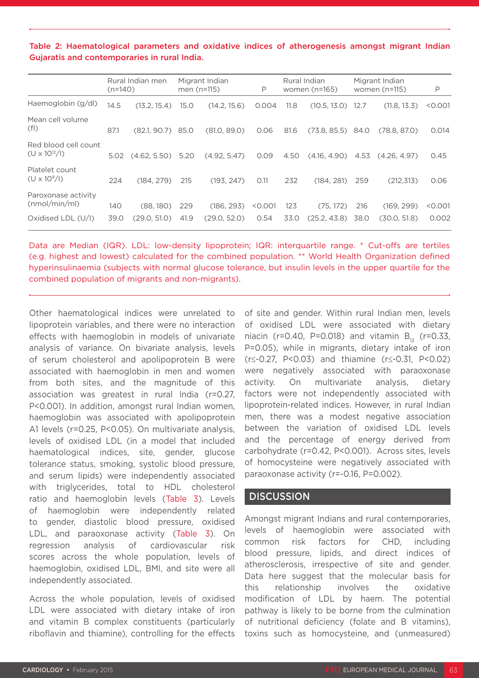Table 2: Haematological parameters and oxidative indices of atherogenesis amongst migrant Indian Gujaratis and contemporaries in rural India.

|                                                | $(n=140)$ | Rural Indian men    |      | Migrant Indian<br>men $(n=115)$ | P       |      | Rural Indian<br>women $(n=165)$ |      | Migrant Indian<br>women $(n=115)$ | P       |
|------------------------------------------------|-----------|---------------------|------|---------------------------------|---------|------|---------------------------------|------|-----------------------------------|---------|
| Haemoglobin (g/dl)                             | 14.5      | (13.2, 15.4)        | 15.0 | (14.2, 15.6)                    | 0.004   | 11.8 | $(10.5, 13.0)$ 12.7             |      | (11.8, 13.3)                      | < 0.001 |
| Mean cell volume<br>(f )                       | 87.1      | $(82.1, 90.7)$ 85.0 |      | (81.0, 89.0)                    | 0.06    | 81.6 | $(73.8, 85.5)$ 84.0             |      | (78.8, 87.0)                      | 0.014   |
| Red blood cell count<br>$(U \times 10^{12}/I)$ | 5.02      | (4.62, 5.50)        | 5.20 | (4.92, 5.47)                    | 0.09    | 4.50 | (4.16, 4.90)                    | 4.53 | (4.26, 4.97)                      | 0.45    |
| Platelet count<br>$(U \times 10^9$ /I)         | 224       | (184, 279)          | 215  | (193, 247)                      | O.11    | 232  | (184, 281)                      | 259  | (212.313)                         | 0.06    |
| Paroxonase activity<br>(mmol/min/ml)           | 140       | (88, 180)           | 229  | (186, 293)                      | < 0.001 | 123  | (75, 172)                       | 216  | (169, 299)                        | < 0.001 |
| Oxidised LDL (U/I)                             | 39.0      | (29.0. 51.0)        | 41.9 | (29.0, 52.0)                    | 0.54    | 33.0 | (25.2, 43.8)                    | 38.0 | (30.0, 51.8)                      | 0.002   |

Data are Median (IQR). LDL: low-density lipoprotein; IQR: interquartile range. \* Cut-offs are tertiles (e.g. highest and lowest) calculated for the combined population. \*\* World Health Organization defined hyperinsulinaemia (subjects with normal glucose tolerance, but insulin levels in the upper quartile for the combined population of migrants and non-migrants).

Other haematological indices were unrelated to lipoprotein variables, and there were no interaction effects with haemoglobin in models of univariate analysis of variance. On bivariate analysis, levels of serum cholesterol and apolipoprotein B were associated with haemoglobin in men and women from both sites, and the magnitude of this association was greatest in rural India (r=0.27, P<0.001). In addition, amongst rural Indian women, haemoglobin was associated with apolipoprotein A1 levels (r=0.25, P<0.05). On multivariate analysis, levels of oxidised LDL (in a model that included haematological indices, site, gender, glucose tolerance status, smoking, systolic blood pressure, and serum lipids) were independently associated with triglycerides, total to HDL cholesterol ratio and haemoglobin levels (Table 3). Levels of haemoglobin were independently related to gender, diastolic blood pressure, oxidised LDL, and paraoxonase activity (Table 3). On regression analysis of cardiovascular risk scores across the whole population, levels of haemoglobin, oxidised LDL, BMI, and site were all independently associated.

Across the whole population, levels of oxidised LDL were associated with dietary intake of iron and vitamin B complex constituents (particularly riboflavin and thiamine), controlling for the effects of site and gender. Within rural Indian men, levels of oxidised LDL were associated with dietary niacin (r=0.40, P=0.018) and vitamin  $B_{12}$  (r=0.33, P=0.05), while in migrants, dietary intake of iron (r≤-0.27, P<0.03) and thiamine (r≤-0.31, P<0.02) were negatively associated with paraoxonase activity. On multivariate analysis, dietary factors were not independently associated with lipoprotein-related indices. However, in rural Indian men, there was a modest negative association between the variation of oxidised LDL levels and the percentage of energy derived from carbohydrate (r=0.42, P<0.001). Across sites, levels of homocysteine were negatively associated with paraoxonase activity (r=-0.16, P=0.002).

#### **DISCUSSION**

Amongst migrant Indians and rural contemporaries, levels of haemoglobin were associated with common risk factors for CHD, including blood pressure, lipids, and direct indices of atherosclerosis, irrespective of site and gender. Data here suggest that the molecular basis for this relationship involves the oxidative modification of LDL by haem. The potential pathway is likely to be borne from the culmination of nutritional deficiency (folate and B vitamins), toxins such as homocysteine, and (unmeasured)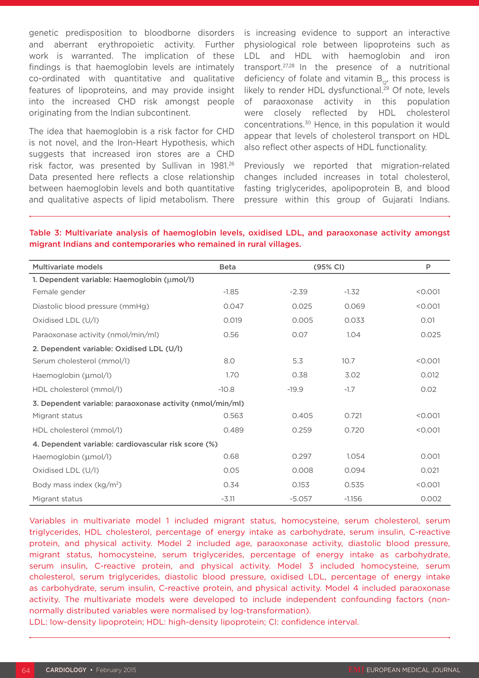genetic predisposition to bloodborne disorders and aberrant erythropoietic activity. Further work is warranted. The implication of these findings is that haemoglobin levels are intimately co-ordinated with quantitative and qualitative features of lipoproteins, and may provide insight into the increased CHD risk amongst people originating from the Indian subcontinent.

The idea that haemoglobin is a risk factor for CHD is not novel, and the Iron-Heart Hypothesis, which suggests that increased iron stores are a CHD risk factor, was presented by Sullivan in 1981.26 Data presented here reflects a close relationship between haemoglobin levels and both quantitative and qualitative aspects of lipid metabolism. There

is increasing evidence to support an interactive physiological role between lipoproteins such as LDL and HDL with haemoglobin and iron transport.27,28 In the presence of a nutritional deficiency of folate and vitamin  $B_{12}$ , this process is likely to render HDL dysfunctional.<sup>29</sup> Of note, levels of paraoxonase activity in this population were closely reflected by HDL cholesterol concentrations.30 Hence, in this population it would appear that levels of cholesterol transport on HDL also reflect other aspects of HDL functionality.

Previously we reported that migration-related changes included increases in total cholesterol, fasting triglycerides, apolipoprotein B, and blood pressure within this group of Gujarati Indians.

Table 3: Multivariate analysis of haemoglobin levels, oxidised LDL, and paraoxonase activity amongst migrant Indians and contemporaries who remained in rural villages.

| Multivariate models                                       | <b>Beta</b> | (95% CI) |          | P       |  |  |  |  |  |
|-----------------------------------------------------------|-------------|----------|----------|---------|--|--|--|--|--|
| 1. Dependent variable: Haemoglobin (umol/l)               |             |          |          |         |  |  |  |  |  |
| Female gender                                             | $-1.85$     | $-2.39$  | $-1.32$  | < 0.001 |  |  |  |  |  |
| Diastolic blood pressure (mmHg)                           | 0.047       | 0.025    | 0.069    | < 0.001 |  |  |  |  |  |
| Oxidised LDL (U/I)                                        | 0.019       | 0.005    | 0.033    | 0.01    |  |  |  |  |  |
| Paraoxonase activity (nmol/min/ml)                        | 0.56        | 0.07     | 1.04     | 0.025   |  |  |  |  |  |
| 2. Dependent variable: Oxidised LDL (U/I)                 |             |          |          |         |  |  |  |  |  |
| Serum cholesterol (mmol/l)                                | 8.0         | 5.3      | 10.7     | < 0.001 |  |  |  |  |  |
| Haemoglobin (µmol/l)                                      | 1.70        | 0.38     | 3.02     | 0.012   |  |  |  |  |  |
| HDL cholesterol (mmol/l)                                  | $-10.8$     | $-19.9$  | $-1.7$   | 0.02    |  |  |  |  |  |
| 3. Dependent variable: paraoxonase activity (nmol/min/ml) |             |          |          |         |  |  |  |  |  |
| Migrant status                                            | 0.563       | 0.405    | 0.721    | < 0.001 |  |  |  |  |  |
| HDL cholesterol (mmol/l)                                  | 0.489       | 0.259    | 0.720    | < 0.001 |  |  |  |  |  |
| 4. Dependent variable: cardiovascular risk score (%)      |             |          |          |         |  |  |  |  |  |
| Haemoglobin (µmol/l)                                      | 0.68        | 0.297    | 1.054    | 0.001   |  |  |  |  |  |
| Oxidised LDL (U/l)                                        | 0.05        | 0.008    | 0.094    | 0.021   |  |  |  |  |  |
| Body mass index (kg/m <sup>2</sup> )                      | 0.34        | 0.153    | 0.535    | < 0.001 |  |  |  |  |  |
| Migrant status                                            | $-3.11$     | $-5.057$ | $-1.156$ | 0.002   |  |  |  |  |  |

Variables in multivariate model 1 included migrant status, homocysteine, serum cholesterol, serum triglycerides, HDL cholesterol, percentage of energy intake as carbohydrate, serum insulin, C-reactive protein, and physical activity. Model 2 included age, paraoxonase activity, diastolic blood pressure, migrant status, homocysteine, serum triglycerides, percentage of energy intake as carbohydrate, serum insulin, C-reactive protein, and physical activity. Model 3 included homocysteine, serum cholesterol, serum triglycerides, diastolic blood pressure, oxidised LDL, percentage of energy intake as carbohydrate, serum insulin, C-reactive protein, and physical activity. Model 4 included paraoxonase activity. The multivariate models were developed to include independent confounding factors (nonnormally distributed variables were normalised by log-transformation).

LDL: low-density lipoprotein; HDL: high-density lipoprotein; CI: confidence interval.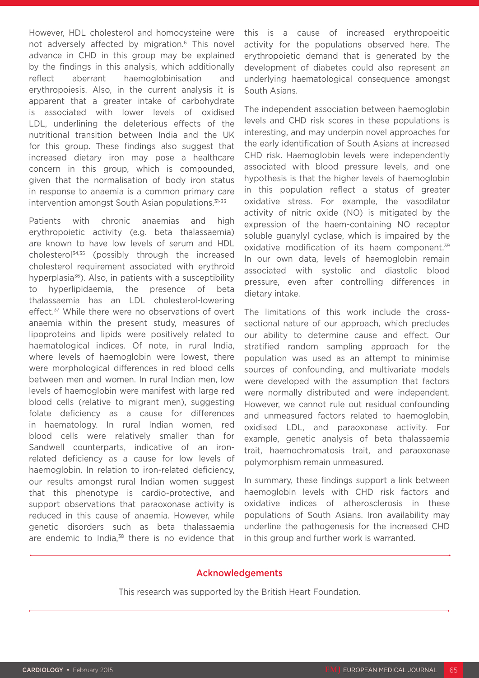However, HDL cholesterol and homocysteine were not adversely affected by migration.<sup>6</sup> This novel advance in CHD in this group may be explained by the findings in this analysis, which additionally reflect aberrant haemoglobinisation and erythropoiesis. Also, in the current analysis it is apparent that a greater intake of carbohydrate is associated with lower levels of oxidised LDL, underlining the deleterious effects of the nutritional transition between India and the UK for this group. These findings also suggest that increased dietary iron may pose a healthcare concern in this group, which is compounded, given that the normalisation of body iron status in response to anaemia is a common primary care intervention amongst South Asian populations.<sup>31-33</sup>

Patients with chronic anaemias and high erythropoietic activity (e.g. beta thalassaemia) are known to have low levels of serum and HDL cholesterol34,35 (possibly through the increased cholesterol requirement associated with erythroid hyperplasia $36$ ). Also, in patients with a susceptibility to hyperlipidaemia, the presence of beta thalassaemia has an LDL cholesterol-lowering effect.<sup>37</sup> While there were no observations of overt anaemia within the present study, measures of lipoproteins and lipids were positively related to haematological indices. Of note, in rural India, where levels of haemoglobin were lowest, there were morphological differences in red blood cells between men and women. In rural Indian men, low levels of haemoglobin were manifest with large red blood cells (relative to migrant men), suggesting folate deficiency as a cause for differences in haematology. In rural Indian women, red blood cells were relatively smaller than for Sandwell counterparts, indicative of an ironrelated deficiency as a cause for low levels of haemoglobin. In relation to iron-related deficiency, our results amongst rural Indian women suggest that this phenotype is cardio-protective, and support observations that paraoxonase activity is reduced in this cause of anaemia. However, while genetic disorders such as beta thalassaemia are endemic to India,<sup>38</sup> there is no evidence that

this is a cause of increased erythropoeitic activity for the populations observed here. The erythropoietic demand that is generated by the development of diabetes could also represent an underlying haematological consequence amongst South Asians.

The independent association between haemoglobin levels and CHD risk scores in these populations is interesting, and may underpin novel approaches for the early identification of South Asians at increased CHD risk. Haemoglobin levels were independently associated with blood pressure levels, and one hypothesis is that the higher levels of haemoglobin in this population reflect a status of greater oxidative stress. For example, the vasodilator activity of nitric oxide (NO) is mitigated by the expression of the haem-containing NO receptor soluble guanylyl cyclase, which is impaired by the oxidative modification of its haem component.<sup>39</sup> In our own data, levels of haemoglobin remain associated with systolic and diastolic blood pressure, even after controlling differences in dietary intake.

The limitations of this work include the crosssectional nature of our approach, which precludes our ability to determine cause and effect. Our stratified random sampling approach for the population was used as an attempt to minimise sources of confounding, and multivariate models were developed with the assumption that factors were normally distributed and were independent. However, we cannot rule out residual confounding and unmeasured factors related to haemoglobin, oxidised LDL, and paraoxonase activity. For example, genetic analysis of beta thalassaemia trait, haemochromatosis trait, and paraoxonase polymorphism remain unmeasured.

In summary, these findings support a link between haemoglobin levels with CHD risk factors and oxidative indices of atherosclerosis in these populations of South Asians. Iron availability may underline the pathogenesis for the increased CHD in this group and further work is warranted.

#### Acknowledgements

This research was supported by the British Heart Foundation.